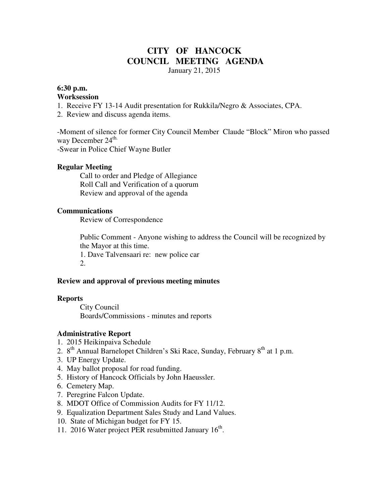# **CITY OF HANCOCK COUNCIL MEETING AGENDA**

January 21, 2015

# **6:30 p.m.**

#### **Worksession**

- 1. Receive FY 13-14 Audit presentation for Rukkila/Negro & Associates, CPA.
- 2. Review and discuss agenda items.

-Moment of silence for former City Council Member Claude "Block" Miron who passed way December  $24^{\text{th}}$ .

-Swear in Police Chief Wayne Butler

#### **Regular Meeting**

 Call to order and Pledge of Allegiance Roll Call and Verification of a quorum Review and approval of the agenda

#### **Communications**

Review of Correspondence

 Public Comment - Anyone wishing to address the Council will be recognized by the Mayor at this time.

1. Dave Talvensaari re: new police car 2.

#### **Review and approval of previous meeting minutes**

#### **Reports**

City Council Boards/Commissions - minutes and reports

#### **Administrative Report**

- 1. 2015 Heikinpaiva Schedule
- 2.  $8<sup>th</sup>$  Annual Barnelopet Children's Ski Race, Sunday, February  $8<sup>th</sup>$  at 1 p.m.
- 3. UP Energy Update.
- 4. May ballot proposal for road funding.
- 5. History of Hancock Officials by John Haeussler.
- 6. Cemetery Map.
- 7. Peregrine Falcon Update.
- 8. MDOT Office of Commission Audits for FY 11/12.
- 9. Equalization Department Sales Study and Land Values.
- 10. State of Michigan budget for FY 15.
- 11. 2016 Water project PER resubmitted January 16<sup>th</sup>.